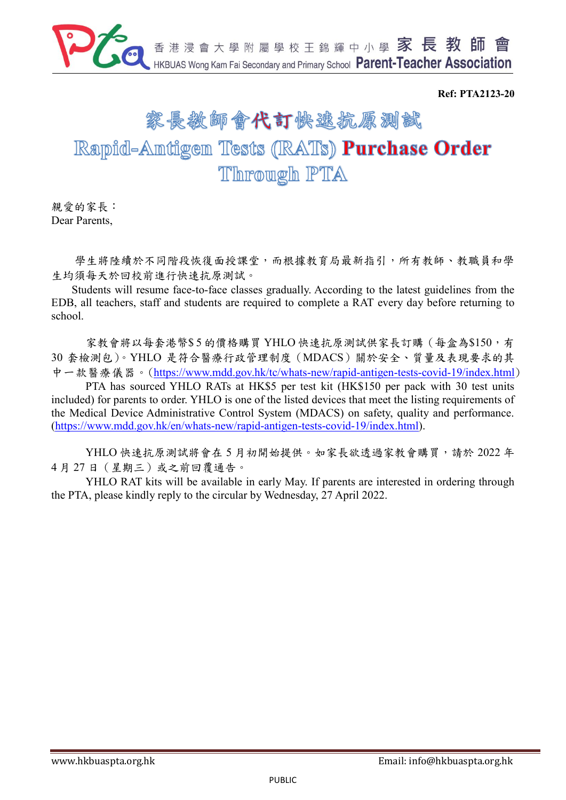

**Ref: PTA2123-20**

# 家長教師會代訂快遠抗原測試 Rapid-Antigen Tests (RATs) Purchase Order Through PTA

親愛的家長: Dear Parents,

學生將陸續於不同階段恢復面授課堂,而根據教育局最新指引,所有教師、教職員和學 生均須每天於回校前進行快速抗原測試。

Students will resume face-to-face classes gradually. According to the latest guidelines from the EDB, all teachers, staff and students are required to complete a RAT every day before returning to school.

家教會將以每套港幣\$5的價格購買 YHLO 快速抗原測試供家長訂購 (每盒為\$150,有 30 套檢測包)。YHLO 是符合醫療行政管理制度(MDACS)關於安全、質量及表現要求的其 中一款醫療儀器。(<https://www.mdd.gov.hk/tc/whats-new/rapid-antigen-tests-covid-19/index.html>)

PTA has sourced YHLO RATs at HK\$5 per test kit (HK\$150 per pack with 30 test units included) for parents to order. YHLO is one of the listed devices that meet the listing requirements of the Medical Device Administrative Control System (MDACS) on safety, quality and performance. [\(https://www.mdd.gov.hk/en/whats-new/rapid-antigen-tests-covid-19/index.html\)](https://www.mdd.gov.hk/en/whats-new/rapid-antigen-tests-covid-19/index.html).

YHLO 快速抗原測試將會在 5 月初開始提供。如家長欲透過家教會購買,請於 2022 年 4 月 27 日(星期三)或之前回覆通告。

YHLO RAT kits will be available in early May. If parents are interested in ordering through the PTA, please kindly reply to the circular by Wednesday, 27 April 2022.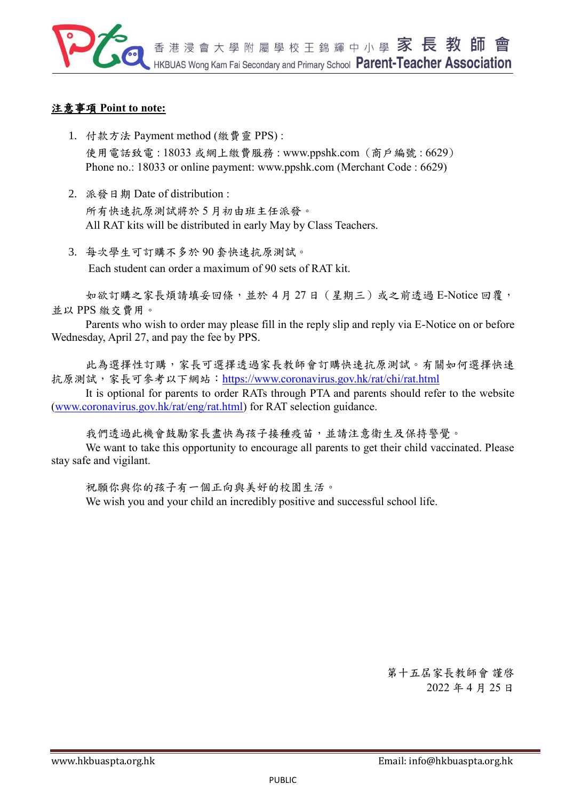

## 注意事項 **Point to note:**

- 1. 付款方法 Payment method (繳費靈 PPS) : 使用電話致電 : 18033 或網上繳費服務 [:](http://www.ppshk.com/) [www.ppshk.com](http://www.ppshk.com/) (商戶編號 : 6629) Phone no.: 18033 or online payment: [www.ppshk.com](http://www.ppshk.com/) (Merchant Code : 6629)
- 2. 派發日期 Date of distribution : 所有快速抗原測試將於 5 月初由班主任派發。 All RAT kits will be distributed in early May by Class Teachers.
- 3. 每次學生可訂購不多於 90 套快速抗原測試。 Each student can order a maximum of 90 sets of RAT kit.

如欲訂購之家長煩請填妥回條,並於 4 月 27 日(星期三)或之前透過 E-Notice 回覆, 並以 PPS 繳交費用。

Parents who wish to order may please fill in the reply slip and reply via E-Notice on or before Wednesday, April 27, and pay the fee by PPS.

此為選擇性訂購,家長可選擇透過家長教師會訂購快速抗原測試。有關如何選擇快速 抗原測試,家長可參考以下網站:<https://www.coronavirus.gov.hk/rat/chi/rat.html>

It is optional for parents to order RATs through PTA and parents should refer to the website [\(www.coronavirus.gov.hk/rat/eng/rat.html\)](http://www.coronavirus.gov.hk/rat/eng/rat.html) for RAT selection guidance.

我們透過此機會鼓勵家長盡快為孩子接種疫苗,並請注意衛生及保持警覺。

We want to take this opportunity to encourage all parents to get their child vaccinated. Please stay safe and vigilant.

祝願你與你的孩子有一個正向與美好的校園生活。 We wish you and your child an incredibly positive and successful school life.

> 第十五屆家長教師會 謹啓 2022 年 4 月 25 日